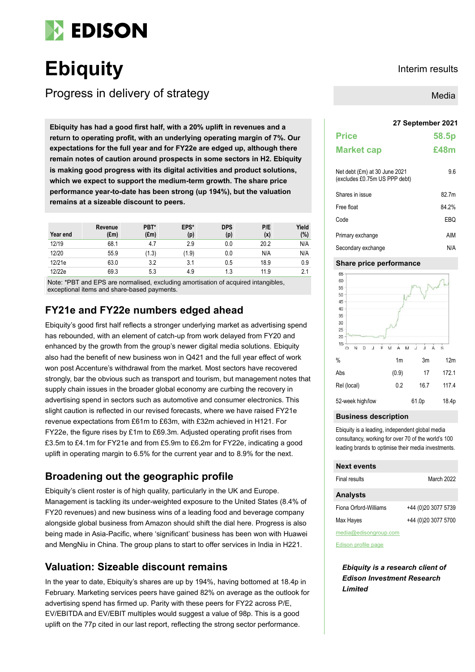

# **Ebiquity** Interim results

Progress in delivery of strategy

**27 September 2021 Ebiquity has had a good first half, with a 20% uplift in revenues and a return to operating profit, with an underlying operating margin of 7%. Our expectations for the full year and for FY22e are edged up, although there remain notes of caution around prospects in some sectors in H2. Ebiquity is making good progress with its digital activities and product solutions, which we expect to support the medium-term growth. The share price performance year-to-date has been strong (up 194%), but the valuation remains at a sizeable discount to peers.**

| Year end | Revenue<br>$(\text{Em})$ | PBT*<br>$(\text{Em})$ | EPS*<br>(p) | <b>DPS</b><br>(p) | P/E<br>(x) | Yield<br>(%) |
|----------|--------------------------|-----------------------|-------------|-------------------|------------|--------------|
| 12/19    | 68.1                     | 4.7                   | 2.9         | 0.0               | 20.2       | N/A          |
| 12/20    | 55.9                     | (1.3)                 | (1.9)       | 0.0               | N/A        | N/A          |
| 12/21e   | 63.0                     | 3.2                   | 3.1         | 0.5               | 18.9       | 0.9          |
| 12/22e   | 69.3                     | 5.3                   | 4.9         | 1.3               | 11.9       | 2.1          |

Note: \*PBT and EPS are normalised, excluding amortisation of acquired intangibles, exceptional items and share-based payments.

## **FY21e and FY22e numbers edged ahead**

Ebiquity's good first half reflects a stronger underlying market as advertising spend has rebounded, with an element of catch-up from work delayed from FY20 and enhanced by the growth from the group's newer digital media solutions. Ebiquity also had the benefit of new business won in Q421 and the full year effect of work won post Accenture's withdrawal from the market. Most sectors have recovered strongly, bar the obvious such as transport and tourism, but management notes that supply chain issues in the broader global economy are curbing the recovery in advertising spend in sectors such as automotive and consumer electronics. This slight caution is reflected in our revised forecasts, where we have raised FY21e revenue expectations from £61m to £63m, with £32m achieved in H121. For FY22e, the figure rises by £1m to £69.3m. Adjusted operating profit rises from £3.5m to £4.1m for FY21e and from £5.9m to £6.2m for FY22e, indicating a good uplift in operating margin to 6.5% for the current year and to 8.9% for the next.

## **Broadening out the geographic profile**

Ebiquity's client roster is of high quality, particularly in the UK and Europe. Management is tackling its under-weighted exposure to the United States (8.4% of FY20 revenues) and new business wins of a leading food and beverage company alongside global business from Amazon should shift the dial here. Progress is also being made in Asia-Pacific, where 'significant' business has been won with Huawei and MengNiu in China. The group plans to start to offer services in India in H221.

## **Valuation: Sizeable discount remains**

In the year to date, Ebiquity's shares are up by 194%, having bottomed at 18.4p in February. Marketing services peers have gained 82% on average as the outlook for advertising spend has firmed up. Parity with these peers for FY22 across P/E, EV/EBITDA and EV/EBIT multiples would suggest a value of 98p. This is a good uplift on the 77p cited in our last report, reflecting the strong sector performance.

Media

| <b>Price</b><br><b>Market cap</b>                              | 58.5p<br>£48m |
|----------------------------------------------------------------|---------------|
| Net debt (£m) at 30 June 2021<br>(excludes £0.75m US PPP debt) | 9.6           |
| Shares in issue                                                | 82 7m         |
| Free float                                                     | 84.2%         |
| Code                                                           | EBO           |
| Primary exchange                                               | AIM           |
| Secondary exchange                                             | N/A           |

### **Share price performance**



### **Business description**

Ebiquity is a leading, independent global media consultancy, working for over 70 of the world's 100 leading brands to optimise their media investments.

## **Next events** Final results March 2022 **Analysts** Fiona Orford-Williams +44 (0)20 3077 5739 Max Hayes +44 (0)20 3077 5700 media@edisongroup.com

[Edison profile page](https://www.edisongroup.com/company/ebiquity/483/)

*Ebiquity is a research client of Edison Investment Research Limited*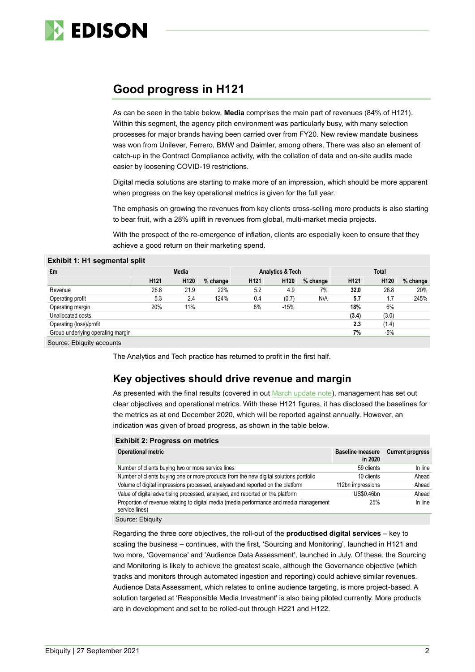

## **Good progress in H121**

As can be seen in the table below, **Media** comprises the main part of revenues (84% of H121). Within this segment, the agency pitch environment was particularly busy, with many selection processes for major brands having been carried over from FY20. New review mandate business was won from Unilever, Ferrero, BMW and Daimler, among others. There was also an element of catch-up in the Contract Compliance activity, with the collation of data and on-site audits made easier by loosening COVID-19 restrictions.

Digital media solutions are starting to make more of an impression, which should be more apparent when progress on the key operational metrics is given for the full year.

The emphasis on growing the revenues from key clients cross-selling more products is also starting to bear fruit, with a 28% uplift in revenues from global, multi-market media projects.

With the prospect of the re-emergence of inflation, clients are especially keen to ensure that they achieve a good return on their marketing spend.

| £m                                | <b>Media</b>     |                  |          | Analytics & Tech |                  |          | <b>Total</b>     |                  |          |
|-----------------------------------|------------------|------------------|----------|------------------|------------------|----------|------------------|------------------|----------|
|                                   | H <sub>121</sub> | H <sub>120</sub> | % change | H <sub>121</sub> | H <sub>120</sub> | % change | H <sub>121</sub> | H <sub>120</sub> | % change |
| Revenue                           | 26.8             | 21.9             | 22%      | 5.2              | 4.9              | 7%       | 32.0             | 26.8             | 20%      |
| Operating profit                  | 5.3              | 2.4              | 124%     | 0.4              | (0.7)            | N/A      | 5.7              | 1.7              | 245%     |
| Operating margin                  | 20%              | 11%              |          | 8%               | $-15%$           |          | 18%              | 6%               |          |
| Unallocated costs                 |                  |                  |          |                  |                  |          | (3.4)            | (3.0)            |          |
| Operating (loss)/profit           |                  |                  |          |                  |                  |          | 2.3              | (1.4)            |          |
| Group underlying operating margin |                  |                  |          |                  |                  |          | 7%               | -5%              |          |
| Source: Ebiquity accounts         |                  |                  |          |                  |                  |          |                  |                  |          |

#### **Exhibit 1: H1 segmental split**

The Analytics and Tech practice has returned to profit in the first half.

## **Key objectives should drive revenue and margin**

As presented with the final results (covered in out [March update note\)](https://www.edisongroup.com/publication/positioned-for-recovery-2/29161/), management has set out clear objectives and operational metrics. With these H121 figures, it has disclosed the baselines for the metrics as at end December 2020, which will be reported against annually. However, an indication was given of broad progress, as shown in the table below.

| <b>Exhibit 2: Progress on metrics</b>                                                                     |                                    |                         |  |  |  |  |  |  |  |
|-----------------------------------------------------------------------------------------------------------|------------------------------------|-------------------------|--|--|--|--|--|--|--|
| <b>Operational metric</b>                                                                                 | <b>Baseline measure</b><br>in 2020 | <b>Current progress</b> |  |  |  |  |  |  |  |
| Number of clients buying two or more service lines                                                        | 59 clients                         | In line                 |  |  |  |  |  |  |  |
| Number of clients buying one or more products from the new digital solutions portfolio                    | 10 clients                         | Ahead                   |  |  |  |  |  |  |  |
| Volume of digital impressions processed, analysed and reported on the platform                            | 112bn impressions                  | Ahead                   |  |  |  |  |  |  |  |
| Value of digital advertising processed, analysed, and reported on the platform                            | US\$0.46bn                         | Ahead                   |  |  |  |  |  |  |  |
| Proportion of revenue relating to digital media (media performance and media management<br>service lines) | 25%                                | In line                 |  |  |  |  |  |  |  |
| Carmen Flamber                                                                                            |                                    |                         |  |  |  |  |  |  |  |

Source: Ebiquity

Regarding the three core objectives, the roll-out of the **productised digital services** – key to scaling the business – continues, with the first, 'Sourcing and Monitoring', launched in H121 and two more, 'Governance' and 'Audience Data Assessment', launched in July. Of these, the Sourcing and Monitoring is likely to achieve the greatest scale, although the Governance objective (which tracks and monitors through automated ingestion and reporting) could achieve similar revenues. Audience Data Assessment, which relates to online audience targeting, is more project-based. A solution targeted at 'Responsible Media Investment' is also being piloted currently. More products are in development and set to be rolled-out through H221 and H122.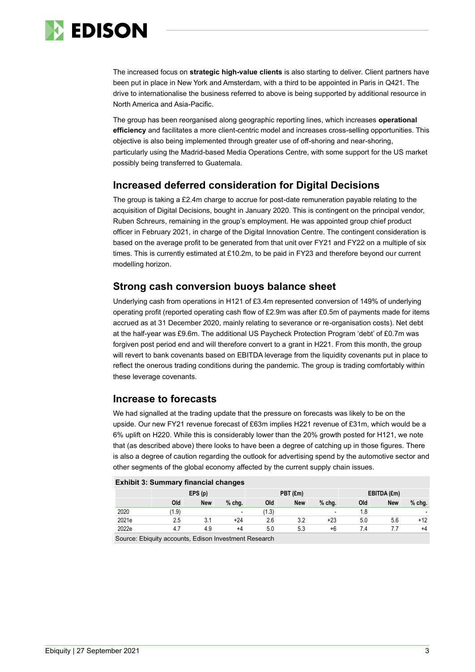

The increased focus on **strategic high-value clients** is also starting to deliver. Client partners have been put in place in New York and Amsterdam, with a third to be appointed in Paris in Q421. The drive to internationalise the business referred to above is being supported by additional resource in North America and Asia-Pacific.

The group has been reorganised along geographic reporting lines, which increases **operational efficiency** and facilitates a more client-centric model and increases cross-selling opportunities. This objective is also being implemented through greater use of off-shoring and near-shoring, particularly using the Madrid-based Media Operations Centre, with some support for the US market possibly being transferred to Guatemala.

## **Increased deferred consideration for Digital Decisions**

The group is taking a £2.4m charge to accrue for post-date remuneration payable relating to the acquisition of Digital Decisions, bought in January 2020. This is contingent on the principal vendor, Ruben Schreurs, remaining in the group's employment. He was appointed group chief product officer in February 2021, in charge of the Digital Innovation Centre. The contingent consideration is based on the average profit to be generated from that unit over FY21 and FY22 on a multiple of six times. This is currently estimated at £10.2m, to be paid in FY23 and therefore beyond our current modelling horizon.

## **Strong cash conversion buoys balance sheet**

Underlying cash from operations in H121 of £3.4m represented conversion of 149% of underlying operating profit (reported operating cash flow of £2.9m was after £0.5m of payments made for items accrued as at 31 December 2020, mainly relating to severance or re-organisation costs). Net debt at the half-year was £9.6m. The additional US Paycheck Protection Program 'debt' of £0.7m was forgiven post period end and will therefore convert to a grant in H221. From this month, the group will revert to bank covenants based on EBITDA leverage from the liquidity covenants put in place to reflect the onerous trading conditions during the pandemic. The group is trading comfortably within these leverage covenants.

## **Increase to forecasts**

We had signalled at the trading update that the pressure on forecasts was likely to be on the upside. Our new FY21 revenue forecast of £63m implies H221 revenue of £31m, which would be a 6% uplift on H220. While this is considerably lower than the 20% growth posted for H121, we note that (as described above) there looks to have been a degree of catching up in those figures. There is also a degree of caution regarding the outlook for advertising spend by the automotive sector and other segments of the global economy affected by the current supply chain issues.

| <b>EXNIDIT 3: Summary financial changes</b> |        |            |                          |          |            |                          |             |            |          |  |
|---------------------------------------------|--------|------------|--------------------------|----------|------------|--------------------------|-------------|------------|----------|--|
|                                             | EPS(p) |            |                          | PBT (£m) |            |                          | EBITDA (£m) |            |          |  |
|                                             | Old    | <b>New</b> | $%$ chg.                 | Old      | <b>New</b> | $%$ chg.                 | Old         | <b>New</b> | $%$ chg. |  |
| 2020                                        | 1.9)   |            | $\overline{\phantom{a}}$ | (1.3)    |            | $\overline{\phantom{a}}$ | 1.8         |            |          |  |
| 2021e                                       | 2.5    | 3.1        | +24                      | 2.6      | 3.2        | +23                      | 5.0         | 5.6        | +12      |  |
| 2022e                                       | 4.7    | 4.9        | +4                       | 5.0      | 5.3        | +6                       | 7.4         |            | $+4$     |  |
|                                             |        |            |                          |          |            |                          |             |            |          |  |

**Exhibit 3: Summary financial changes**

Source: Ebiquity accounts, Edison Investment Research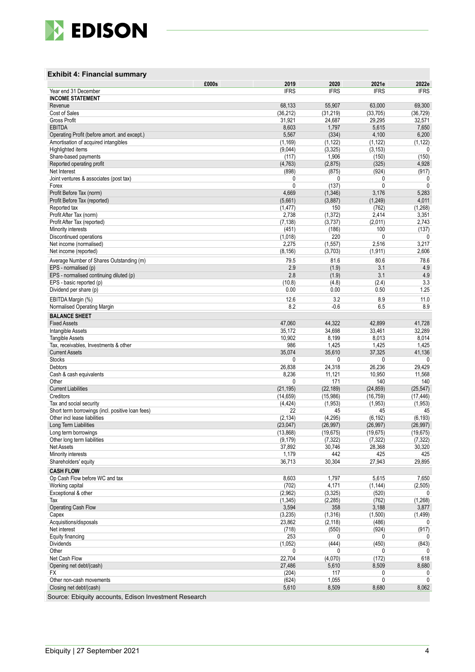

### **Exhibit 4 : Financial summary**

|                                                  | £000s<br>2019   | 2020         | 2021e       | 2022e        |
|--------------------------------------------------|-----------------|--------------|-------------|--------------|
| Year end 31 December                             | <b>IFRS</b>     | <b>IFRS</b>  | <b>IFRS</b> | <b>IFRS</b>  |
| <b>INCOME STATEMENT</b>                          |                 |              |             |              |
| Revenue                                          | 68,133          | 55,907       | 63,000      | 69,300       |
| Cost of Sales                                    | (36, 212)       | (31, 219)    | (33,705)    | (36, 729)    |
| <b>Gross Profit</b>                              | 31,921          | 24,687       | 29,295      | 32,571       |
| <b>EBITDA</b>                                    | 8,603           | 1,797        | 5,615       | 7,650        |
| Operating Profit (before amort. and except.)     | 5,567           | (334)        | 4,100       | 6,200        |
| Amortisation of acquired intangibles             | (1, 169)        | (1, 122)     | (1, 122)    | (1, 122)     |
| Highlighted items                                | (9,044)         | (3, 325)     | (3, 153)    | 0            |
| Share-based payments                             | (117)           | 1,906        | (150)       | (150)        |
| Reported operating profit                        | (4, 763)        | (2,875)      | (325)       | 4,928        |
| Net Interest                                     | (898)           | (875)        | (924)       | (917)        |
| Joint ventures & associates (post tax)           | 0               | 0            | 0           | 0            |
| Forex                                            | 0               | (137)        | 0           | 0            |
| Profit Before Tax (norm)                         | 4,669           | (1,346)      | 3,176       | 5,283        |
| Profit Before Tax (reported)                     | (5,661)         | (3,887)      | (1, 249)    | 4,011        |
| Reported tax                                     | (1, 477)        | 150          | (762)       | (1, 268)     |
| Profit After Tax (norm)                          | 2,738           | (1, 372)     | 2,414       | 3,351        |
| Profit After Tax (reported)                      | (7, 138)        | (3,737)      | (2,011)     | 2,743        |
| Minority interests                               | (451)           | (186)        | 100         | (137)        |
| Discontinued operations                          | (1,018)         | 220          | 0           | 0            |
| Net income (normalised)                          | 2,275           | (1, 557)     | 2,516       | 3,217        |
| Net income (reported)                            | (8, 156)        | (3,703)      | (1, 911)    | 2,606        |
| Average Number of Shares Outstanding (m)         | 79.5            | 81.6         | 80.6        | 78.6         |
| EPS - normalised (p)                             | 2.9             | (1.9)        | 3.1         | 4.9          |
| EPS - normalised continuing diluted (p)          | 2.8             | (1.9)        | 3.1         | 4.9          |
| EPS - basic reported (p)                         | (10.8)          | (4.8)        | (2.4)       | 3.3          |
| Dividend per share (p)                           | 0.00            | 0.00         | 0.50        | 1.25         |
| EBITDA Margin (%)                                | 12.6            | 3.2          | 8.9         | 11.0         |
| Normalised Operating Margin                      | 8.2             | $-0.6$       | 6.5         | 8.9          |
| <b>BALANCE SHEET</b>                             |                 |              |             |              |
| <b>Fixed Assets</b>                              | 47,060          | 44,322       | 42,899      | 41,728       |
| Intangible Assets                                | 35,172          | 34,698       | 33,461      | 32,289       |
| <b>Tangible Assets</b>                           | 10,902          | 8,199        | 8,013       | 8,014        |
| Tax, receivables, Investments & other            | 986             | 1,425        | 1,425       | 1,425        |
| <b>Current Assets</b>                            | 35,074          | 35,610       | 37,325      | 41,136       |
| <b>Stocks</b>                                    | 0               | 0            | 0           | 0            |
| Debtors                                          | 26,838          | 24,318       | 26,236      | 29,429       |
| Cash & cash equivalents                          | 8,236           | 11,121       | 10,950      | 11,568       |
| Other                                            | 0               | 171          | 140         | 140          |
| <b>Current Liabilities</b>                       | (21, 195)       | (22, 189)    | (24, 859)   | (25, 547)    |
| Creditors                                        | (14, 659)       | (15,986)     | (16, 759)   | (17, 446)    |
| Tax and social security                          | (4, 424)        | (1.953)      | (1,953)     | (1,953)      |
| Short term borrowings (incl. positive loan fees) | 22              | 45           | 45          | 45           |
| Other incl lease liabilities                     | (2, 134)        | (4, 295)     | (6, 192)    | (6, 193)     |
| Long Term Liabilities                            | (23,047)        | (26, 997)    | (26, 997)   | (26, 997)    |
| Long term borrowings                             | (13,868)        | (19, 675)    | (19, 675)   | (19, 675)    |
| Other long term liabilities                      | (9, 179)        | (7, 322)     | (7, 322)    | (7, 322)     |
| <b>Net Assets</b>                                | 37,892          | 30,746       | 28,368      | 30,320       |
| Minority interests                               | 1,179           | 442          | 425         | 425          |
| Shareholders' equity                             | 36,713          | 30,304       | 27,943      | 29,895       |
| <b>CASH FLOW</b>                                 |                 |              |             |              |
| Op Cash Flow before WC and tax                   | 8,603           | 1,797        | 5,615       | 7,650        |
| Working capital                                  | (702)           | 4,171        | (1, 144)    | (2,505)      |
| Exceptional & other                              | (2,962)         | (3, 325)     | (520)       | 0            |
| Tax                                              | (1, 345)        | (2, 285)     | (762)       | (1,268)      |
| Operating Cash Flow                              | 3,594           | 358          | 3,188       | 3,877        |
| Capex                                            | (3,235)         | (1, 316)     | (1,500)     | (1, 499)     |
| Acquisitions/disposals                           | 23,862          | (2, 118)     | (486)       | 0            |
| Net interest                                     | (718)           | (550)        | (924)       | (917)        |
| Equity financing                                 | 253             | 0            | 0           | 0            |
| <b>Dividends</b>                                 | (1,052)         | (444)        | (450)       | (843)        |
| Other                                            | 0               | 0            | 0           | $\mathbf{0}$ |
| Net Cash Flow                                    | 22,704          | (4,070)      | (172)       | 618          |
| Opening net debt/(cash)                          | 27,486<br>(204) | 5,610<br>117 | 8,509       | 8,680<br>0   |
| FX<br>Other non-cash movements                   | (624)           | 1,055        | 0<br>0      | $\mathbf{0}$ |
| Closing net debt/(cash)                          | 5,610           | 8,509        | 8,680       | 8,062        |
|                                                  |                 |              |             |              |

Source: Ebiquity accounts, Edison Investment Research